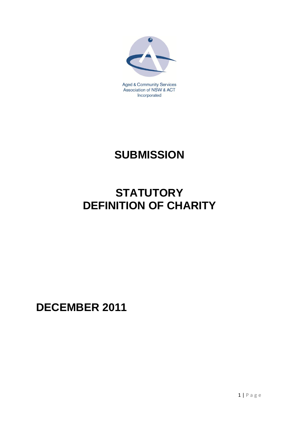

Association of NSW & ACT Incorporated

# **SUBMISSION**

## **STATUTORY DEFINITION OF CHARITY**

**DECEMBER 2011**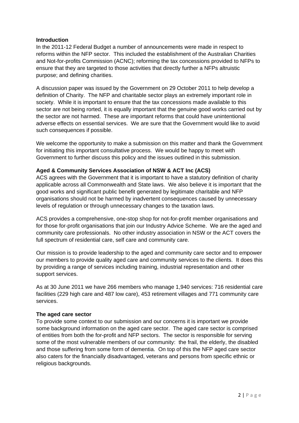#### **Introduction**

In the 2011-12 Federal Budget a number of announcements were made in respect to reforms within the NFP sector. This included the establishment of the Australian Charities and Not-for-profits Commission (ACNC); reforming the tax concessions provided to NFPs to ensure that they are targeted to those activities that directly further a NFPs altruistic purpose; and defining charities.

A discussion paper was issued by the Government on 29 October 2011 to help develop a definition of Charity. The NFP and charitable sector plays an extremely important role in society. While it is important to ensure that the tax concessions made available to this sector are not being rorted, it is equally important that the genuine good works carried out by the sector are not harmed. These are important reforms that could have unintentional adverse effects on essential services. We are sure that the Government would like to avoid such consequences if possible.

We welcome the opportunity to make a submission on this matter and thank the Government for initiating this important consultative process. We would be happy to meet with Government to further discuss this policy and the issues outlined in this submission.

### **Aged & Community Services Association of NSW & ACT Inc (ACS)**

ACS agrees with the Government that it is important to have a statutory definition of charity applicable across all Commonwealth and State laws. We also believe it is important that the good works and significant public benefit generated by legitimate charitable and NFP organisations should not be harmed by inadvertent consequences caused by unnecessary levels of regulation or through unnecessary changes to the taxation laws.

ACS provides a comprehensive, one-stop shop for not-for-profit member organisations and for those for-profit organisations that join our Industry Advice Scheme. We are the aged and community care professionals. No other industry association in NSW or the ACT covers the full spectrum of residential care, self care and community care.

Our mission is to provide leadership to the aged and community care sector and to empower our members to provide quality aged care and community services to the clients. It does this by providing a range of services including training, industrial representation and other support services.

As at 30 June 2011 we have 266 members who manage 1,940 services: 716 residential care facilities (229 high care and 487 low care), 453 retirement villages and 771 community care services.

#### **The aged care sector**

To provide some context to our submission and our concerns it is important we provide some background information on the aged care sector. The aged care sector is comprised of entities from both the for-profit and NFP sectors. The sector is responsible for serving some of the most vulnerable members of our community: the frail, the elderly, the disabled and those suffering from some form of dementia. On top of this the NFP aged care sector also caters for the financially disadvantaged, veterans and persons from specific ethnic or religious backgrounds.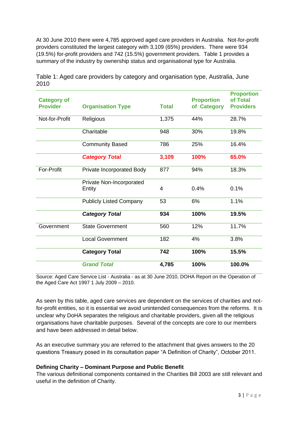At 30 June 2010 there were 4,785 approved aged care providers in Australia. Not-for-profit providers constituted the largest category with 3,109 (65%) providers. There were 934 (19.5%) for-profit providers and 742 (15.5%) government providers. Table 1 provides a summary of the industry by ownership status and organisational type for Australia.

| <b>Category of</b><br><b>Provider</b> | <b>Organisation Type</b>           | <b>Total</b> | <b>Proportion</b><br>of Category | <b>Proportion</b><br>of Total<br><b>Providers</b> |
|---------------------------------------|------------------------------------|--------------|----------------------------------|---------------------------------------------------|
| Not-for-Profit                        | Religious                          | 1,375        | 44%                              | 28.7%                                             |
|                                       | Charitable                         | 948          | 30%                              | 19.8%                                             |
|                                       | <b>Community Based</b>             | 786          | 25%                              | 16.4%                                             |
|                                       | <b>Category Total</b>              | 3,109        | 100%                             | 65.0%                                             |
| For-Profit                            | Private Incorporated Body          | 877          | 94%                              | 18.3%                                             |
|                                       | Private Non-Incorporated<br>Entity | 4            | 0.4%                             | 0.1%                                              |
|                                       | <b>Publicly Listed Company</b>     | 53           | 6%                               | 1.1%                                              |
|                                       | <b>Category Total</b>              | 934          | 100%                             | 19.5%                                             |
| Government                            | <b>State Government</b>            | 560          | 12%                              | 11.7%                                             |
|                                       | <b>Local Government</b>            | 182          | 4%                               | 3.8%                                              |
|                                       | <b>Category Total</b>              | 742          | 100%                             | 15.5%                                             |
|                                       | <b>Grand Total</b>                 | 4,785        | 100%                             | 100.0%                                            |

Table 1: Aged care providers by category and organisation type, Australia, June 2010

Source: Aged Care Service List - Australia - as at 30 June 2010, DOHA Report on the Operation of the Aged Care Act 1997 1 July 2009 – 2010.

As seen by this table, aged care services are dependent on the services of charities and notfor-profit entities, so it is essential we avoid unintended consequences from the reforms. It is unclear why DoHA separates the religious and charitable providers, given all the religious organisations have charitable purposes. Several of the concepts are core to our members and have been addressed in detail below.

As an executive summary you are referred to the attachment that gives answers to the 20 questions Treasury posed in its consultation paper "A Definition of Charity", October 2011.

### **Defining Charity – Dominant Purpose and Public Benefit**

The various definitional components contained in the Charities Bill 2003 are still relevant and useful in the definition of Charity.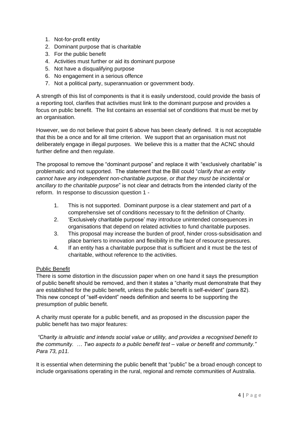- 1. Not-for-profit entity
- 2. Dominant purpose that is charitable
- 3. For the public benefit
- 4. Activities must further or aid its dominant purpose
- 5. Not have a disqualifying purpose
- 6. No engagement in a serious offence
- 7. Not a political party, superannuation or government body.

A strength of this list of components is that it is easily understood, could provide the basis of a reporting tool, clarifies that activities must link to the dominant purpose and provides a focus on public benefit. The list contains an essential set of conditions that must be met by an organisation.

However, we do not believe that point 6 above has been clearly defined. It is not acceptable that this be a once and for all time criterion. We support that an organisation must not deliberately engage in illegal purposes. We believe this is a matter that the ACNC should further define and then regulate.

The proposal to remove the "dominant purpose" and replace it with "exclusively charitable" is problematic and not supported. The statement that the Bill could "*clarify that an entity cannot have any independent non-charitable purpose, or that they must be incidental or ancillary to the charitable purpose*" is not clear and detracts from the intended clarity of the reform. In response to discussion question 1 -

- 1. This is not supported. Dominant purpose is a clear statement and part of a comprehensive set of conditions necessary to fit the definition of Charity.
- 2. 'Exclusively charitable purpose' may introduce unintended consequences in organisations that depend on related activities to fund charitable purposes.
- 3. This proposal may increase the burden of proof, hinder cross-subsidisation and place barriers to innovation and flexibility in the face of resource pressures.
- 4. If an entity has a charitable purpose that is sufficient and it must be the test of charitable, without reference to the activities.

### Public Benefit

There is some distortion in the discussion paper when on one hand it says the presumption of public benefit should be removed, and then it states a "charity must demonstrate that they are established for the public benefit, unless the public benefit is self-evident" (para 82). This new concept of "self-evident" needs definition and seems to be supporting the presumption of public benefit.

A charity must operate for a public benefit, and as proposed in the discussion paper the public benefit has two major features:

*"Charity is altruistic and intends social value or utility, and provides a recognised benefit to the community. … Two aspects to a public benefit test – value or benefit and community." Para 73, p11.*

It is essential when determining the public benefit that "public" be a broad enough concept to include organisations operating in the rural, regional and remote communities of Australia.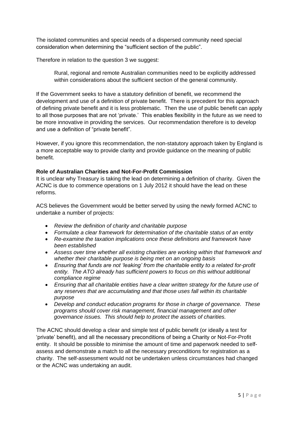The isolated communities and special needs of a dispersed community need special consideration when determining the "sufficient section of the public".

Therefore in relation to the question 3 we suggest:

Rural, regional and remote Australian communities need to be explicitly addressed within considerations about the sufficient section of the general community.

If the Government seeks to have a statutory definition of benefit, we recommend the development and use of a definition of private benefit. There is precedent for this approach of defining private benefit and it is less problematic. Then the use of public benefit can apply to all those purposes that are not 'private.' This enables flexibility in the future as we need to be more innovative in providing the services. Our recommendation therefore is to develop and use a definition of "private benefit".

However, if you ignore this recommendation, the non-statutory approach taken by England is a more acceptable way to provide clarity and provide guidance on the meaning of public benefit.

### **Role of Australian Charities and Not-For-Profit Commission**

It is unclear why Treasury is taking the lead on determining a definition of charity. Given the ACNC is due to commence operations on 1 July 2012 it should have the lead on these reforms.

ACS believes the Government would be better served by using the newly formed ACNC to undertake a number of projects:

- *Review the definition of charity and charitable purpose*
- *Formulate a clear framework for determination of the charitable status of an entity*
- *Re-examine the taxation implications once these definitions and framework have been established*
- *Assess over time whether all existing charities are working within that framework and whether their charitable purpose is being met on an ongoing basis*
- *Ensuring that funds are not 'leaking' from the charitable entity to a related for-profit entity. The ATO already has sufficient powers to focus on this without additional compliance regime*
- *Ensuring that all charitable entities have a clear written strategy for the future use of any reserves that are accumulating and that those uses fall within its charitable purpose*
- *Develop and conduct education programs for those in charge of governance. These programs should cover risk management, financial management and other governance issues. This should help to protect the assets of charities.*

The ACNC should develop a clear and simple test of public benefit (or ideally a test for 'private' benefit), and all the necessary preconditions of being a Charity or Not-For-Profit entity. It should be possible to minimise the amount of time and paperwork needed to selfassess and demonstrate a match to all the necessary preconditions for registration as a charity. The self-assessment would not be undertaken unless circumstances had changed or the ACNC was undertaking an audit.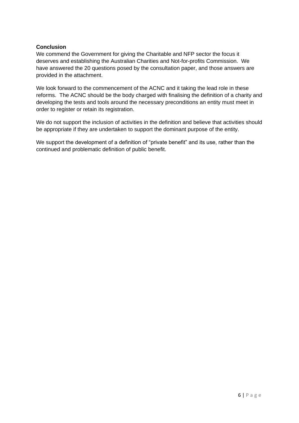### **Conclusion**

We commend the Government for giving the Charitable and NFP sector the focus it deserves and establishing the Australian Charities and Not-for-profits Commission. We have answered the 20 questions posed by the consultation paper, and those answers are provided in the attachment.

We look forward to the commencement of the ACNC and it taking the lead role in these reforms. The ACNC should be the body charged with finalising the definition of a charity and developing the tests and tools around the necessary preconditions an entity must meet in order to register or retain its registration.

We do not support the inclusion of activities in the definition and believe that activities should be appropriate if they are undertaken to support the dominant purpose of the entity.

We support the development of a definition of "private benefit" and its use, rather than the continued and problematic definition of public benefit.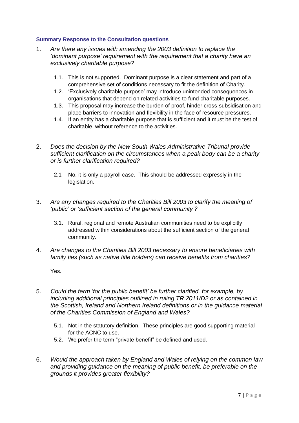### **Summary Response to the Consultation questions**

- 1. *Are there any issues with amending the 2003 definition to replace the 'dominant purpose' requirement with the requirement that a charity have an exclusively charitable purpose?*
	- 1.1. This is not supported. Dominant purpose is a clear statement and part of a comprehensive set of conditions necessary to fit the definition of Charity.
	- 1.2. 'Exclusively charitable purpose' may introduce unintended consequences in organisations that depend on related activities to fund charitable purposes.
	- 1.3. This proposal may increase the burden of proof, hinder cross-subsidisation and place barriers to innovation and flexibility in the face of resource pressures.
	- 1.4. If an entity has a charitable purpose that is sufficient and it must be the test of charitable, without reference to the activities.
- 2. *Does the decision by the New South Wales Administrative Tribunal provide sufficient clarification on the circumstances when a peak body can be a charity or is further clarification required?*
	- 2.1 No, it is only a payroll case. This should be addressed expressly in the legislation.
- 3. *Are any changes required to the Charities Bill 2003 to clarify the meaning of 'public' or 'sufficient section of the general community'?*
	- 3.1. Rural, regional and remote Australian communities need to be explicitly addressed within considerations about the sufficient section of the general community.
- 4. *Are changes to the Charities Bill 2003 necessary to ensure beneficiaries with family ties (such as native title holders) can receive benefits from charities?*

Yes.

- 5. *Could the term 'for the public benefit' be further clarified, for example, by including additional principles outlined in ruling TR 2011/D2 or as contained in the Scottish, Ireland and Northern Ireland definitions or in the guidance material of the Charities Commission of England and Wales?*
	- 5.1. Not in the statutory definition. These principles are good supporting material for the ACNC to use.
	- 5.2. We prefer the term "private benefit" be defined and used.
- 6. *Would the approach taken by England and Wales of relying on the common law and providing guidance on the meaning of public benefit, be preferable on the grounds it provides greater flexibility?*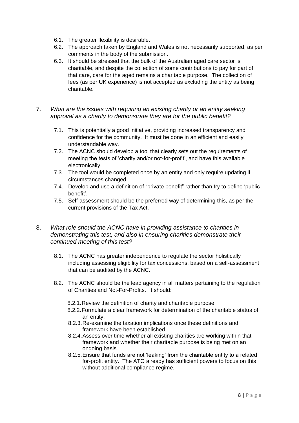- 6.1. The greater flexibility is desirable.
- 6.2. The approach taken by England and Wales is not necessarily supported, as per comments in the body of the submission.
- 6.3. It should be stressed that the bulk of the Australian aged care sector is charitable, and despite the collection of some contributions to pay for part of that care, care for the aged remains a charitable purpose. The collection of fees (as per UK experience) is not accepted as excluding the entity as being charitable.
- 7. *What are the issues with requiring an existing charity or an entity seeking approval as a charity to demonstrate they are for the public benefit?* 
	- 7.1. This is potentially a good initiative, providing increased transparency and confidence for the community. It must be done in an efficient and easily understandable way.
	- 7.2. The ACNC should develop a tool that clearly sets out the requirements of meeting the tests of 'charity and/or not-for-profit', and have this available electronically.
	- 7.3. The tool would be completed once by an entity and only require updating if circumstances changed.
	- 7.4. Develop and use a definition of "private benefit" rather than try to define 'public benefit'.
	- 7.5. Self-assessment should be the preferred way of determining this, as per the current provisions of the Tax Act.
- 8. *What role should the ACNC have in providing assistance to charities in demonstrating this test, and also in ensuring charities demonstrate their continued meeting of this test?*
	- 8.1. The ACNC has greater independence to regulate the sector holistically including assessing eligibility for tax concessions, based on a self-assessment that can be audited by the ACNC.
	- 8.2. The ACNC should be the lead agency in all matters pertaining to the regulation of Charities and Not-For-Profits. It should:
		- 8.2.1.Review the definition of charity and charitable purpose.
		- 8.2.2.Formulate a clear framework for determination of the charitable status of an entity.
		- 8.2.3.Re-examine the taxation implications once these definitions and framework have been established.
		- 8.2.4.Assess over time whether all existing charities are working within that framework and whether their charitable purpose is being met on an ongoing basis.
		- 8.2.5.Ensure that funds are not 'leaking' from the charitable entity to a related for-profit entity. The ATO already has sufficient powers to focus on this without additional compliance regime.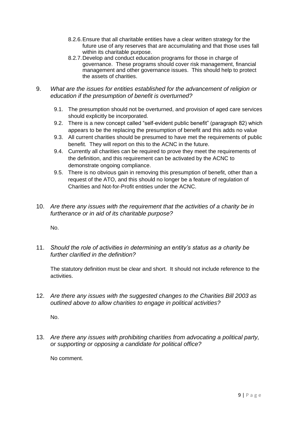- 8.2.6.Ensure that all charitable entities have a clear written strategy for the future use of any reserves that are accumulating and that those uses fall within its charitable purpose.
- 8.2.7.Develop and conduct education programs for those in charge of governance. These programs should cover risk management, financial management and other governance issues. This should help to protect the assets of charities.
- 9. *What are the issues for entities established for the advancement of religion or education if the presumption of benefit is overturned?*
	- 9.1. The presumption should not be overturned, and provision of aged care services should explicitly be incorporated.
	- 9.2. There is a new concept called "self-evident public benefit" (paragraph 82) which appears to be the replacing the presumption of benefit and this adds no value
	- 9.3. All current charities should be presumed to have met the requirements of public benefit. They will report on this to the ACNC in the future.
	- 9.4. Currently all charities can be required to prove they meet the requirements of the definition, and this requirement can be activated by the ACNC to demonstrate ongoing compliance.
	- 9.5. There is no obvious gain in removing this presumption of benefit, other than a request of the ATO, and this should no longer be a feature of regulation of Charities and Not-for-Profit entities under the ACNC.
- 10. *Are there any issues with the requirement that the activities of a charity be in furtherance or in aid of its charitable purpose?*

No.

11. *Should the role of activities in determining an entity's status as a charity be further clarified in the definition?*

The statutory definition must be clear and short. It should not include reference to the activities.

12. *Are there any issues with the suggested changes to the Charities Bill 2003 as outlined above to allow charities to engage in political activities?*

No.

13. *Are there any issues with prohibiting charities from advocating a political party, or supporting or opposing a candidate for political office?*

No comment.